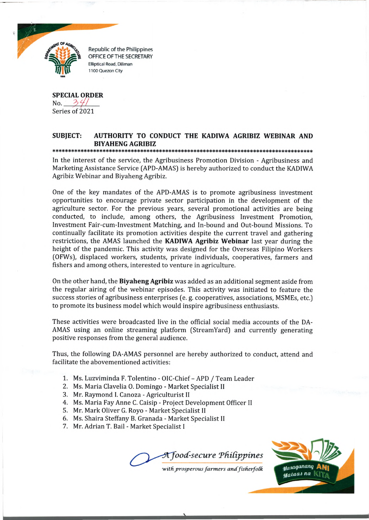

**Republic of the Philippines** OFFICE OF THE SECRETARY Elliptical Road, Diliman 1100 Quezon City

**SPECIAL ORDER**  $No. \frac{34}{1}$ Series of 2021

## **SUBJECT: AUTHORITY TO CONDUCT THE KADIWA AGRIBIZ WEBINAR AND BIYAHENG AGRIBIZ** \* \* \* J|C \* \* \* 5|C 5ic sjc \* \* \* J|C \* \* \* \* \* \* \* \* \* >|e \* \* \* \* j|e \* \* \* \* \* \* \* \* \* \* \* \* \* s|e \* s|e sje \* \* \* \* \* j|c \* \* \* \* \* \* \* 5ie jJcjJc\* \* \* \* \* \* \* \* \* \* \* \* \* \* \* \* \* \* \* \* \*

In the interest of the service, the Agribusiness Promotion Division - Agribusiness and Marketing Assistance Service (APD-AMAS) is hereby authorized to conduct the KADIWA Agribiz Webinar and Biyaheng Agribiz.

One of the key mandates of the APD-AMAS is to promote agribusiness investment opportunities to encourage private sector participation in the development of the agriculture sector. For the previous years, several promotional activities are being conducted, to include, among others, the Agribusiness Investment Promotion, Investment Fair-cum-Investment Matching, and In-bound and Out-bound Missions. To continually facilitate its promotion activities despite the current travel and gathering restrictions, the AMAS launched the **KADIWA Agribiz Webinar** last year during the height of the pandemic. This activity was designed for the Overseas Filipino Workers (OFWs), displaced workers, students, private individuals, cooperatives, farmers and fishers and among others, interested to venture in agriculture.

On the other hand, the **Biyaheng Agribiz** was added as an additional segment aside from the regular airing of the webinar episodes. This activity was initiated to feature the success stories of agribusiness enterprises (e. g. cooperatives, associations, MSMEs, etc.) to promote its business model which would inspire agribusiness enthusiasts.

These activities were broadcasted live in the official social media accounts of the DA-AMAS using an online streaming platform (StreamYard) and currently generating positive responses from the general audience.

Thus, the following DA-AMAS personnel are hereby authorized to conduct, attend and facilitate the abovementioned activities:

- 1. Ms. Luzviminda F. Tolentino OlC-Chief APD / Team Leader
- 2. Ms. Maria Clavelia 0. Domingo Market Specialist II
- 3. Mr. Raymond I. Canoza Agriculturist II
- 4. Ms. Maria Fay Anne C. Caisip Project Development Officer II
- 5. Mr. Mark Oliver G. Royo Market Specialist II

*mtm*

- 6. Ms. Shaira Steffany B. Granada Market Specialist II
- 7. Mr. Adrian T. Bail Market Specialist I

A food-secure Philippines



with prosperous farmers and fisherfolk